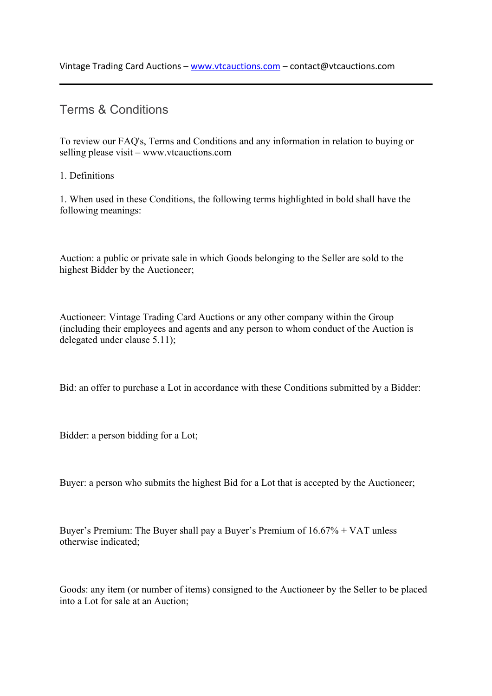# Terms & Conditions

To review our FAQ's, Terms and Conditions and any information in relation to buying or selling please visit – www.vtcauctions.com

# 1. Definitions

1. When used in these Conditions, the following terms highlighted in bold shall have the following meanings:

Auction: a public or private sale in which Goods belonging to the Seller are sold to the highest Bidder by the Auctioneer;

Auctioneer: Vintage Trading Card Auctions or any other company within the Group (including their employees and agents and any person to whom conduct of the Auction is delegated under clause 5.11);

Bid: an offer to purchase a Lot in accordance with these Conditions submitted by a Bidder:

Bidder: a person bidding for a Lot;

Buyer: a person who submits the highest Bid for a Lot that is accepted by the Auctioneer;

Buyer's Premium: The Buyer shall pay a Buyer's Premium of 16.67% + VAT unless otherwise indicated;

Goods: any item (or number of items) consigned to the Auctioneer by the Seller to be placed into a Lot for sale at an Auction;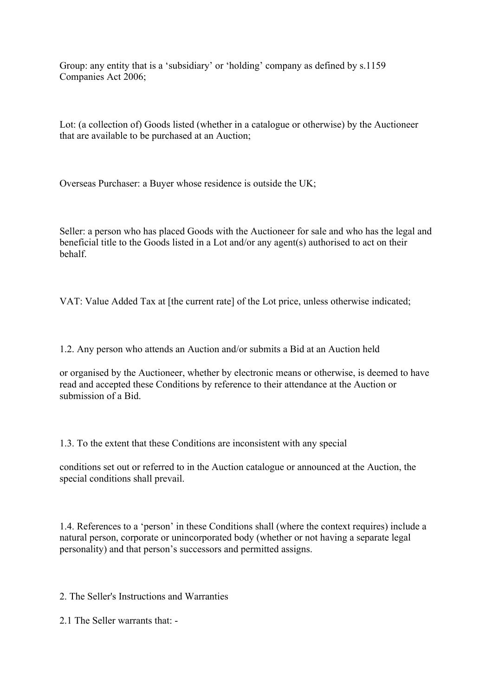Group: any entity that is a 'subsidiary' or 'holding' company as defined by s.1159 Companies Act 2006;

Lot: (a collection of) Goods listed (whether in a catalogue or otherwise) by the Auctioneer that are available to be purchased at an Auction;

Overseas Purchaser: a Buyer whose residence is outside the UK;

Seller: a person who has placed Goods with the Auctioneer for sale and who has the legal and beneficial title to the Goods listed in a Lot and/or any agent(s) authorised to act on their behalf.

VAT: Value Added Tax at [the current rate] of the Lot price, unless otherwise indicated;

1.2. Any person who attends an Auction and/or submits a Bid at an Auction held

or organised by the Auctioneer, whether by electronic means or otherwise, is deemed to have read and accepted these Conditions by reference to their attendance at the Auction or submission of a Bid.

1.3. To the extent that these Conditions are inconsistent with any special

conditions set out or referred to in the Auction catalogue or announced at the Auction, the special conditions shall prevail.

1.4. References to a 'person' in these Conditions shall (where the context requires) include a natural person, corporate or unincorporated body (whether or not having a separate legal personality) and that person's successors and permitted assigns.

2. The Seller's Instructions and Warranties

2.1 The Seller warrants that: -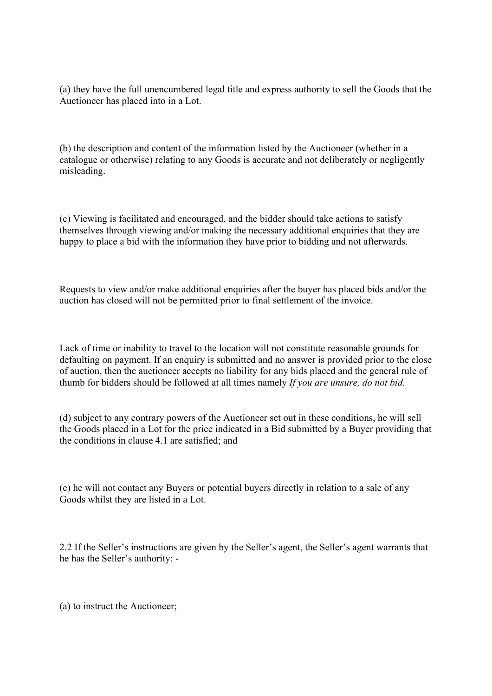(a) they have the full unencumbered legal title and express authority to sell the Goods that the Auctioneer has placed into in a Lot.

(b) the description and content of the information listed by the Auctioneer (whether in a catalogue or otherwise) relating to any Goods is accurate and not deliberately or negligently misleading.

(c) Viewing is facilitated and encouraged, and the bidder should take actions to satisfy themselves through viewing and/or making the necessary additional enquiries that they are happy to place a bid with the information they have prior to bidding and not afterwards.

Requests to view and/or make additional enquiries after the buyer has placed bids and/or the auction has closed will not be permitted prior to final settlement of the invoice.

Lack of time or inability to travel to the location will not constitute reasonable grounds for defaulting on payment. If an enquiry is submitted and no answer is provided prior to the close of auction, then the auctioneer accepts no liability for any bids placed and the general rule of thumb for bidders should be followed at all times namely *If you are unsure, do not bid.*

(d) subject to any contrary powers of the Auctioneer set out in these conditions, he will sell the Goods placed in a Lot for the price indicated in a Bid submitted by a Buyer providing that the conditions in clause 4.1 are satisfied; and

(e) he will not contact any Buyers or potential buyers directly in relation to a sale of any Goods whilst they are listed in a Lot.

2.2 If the Seller's instructions are given by the Seller's agent, the Seller's agent warrants that he has the Seller's authority: -

(a) to instruct the Auctioneer;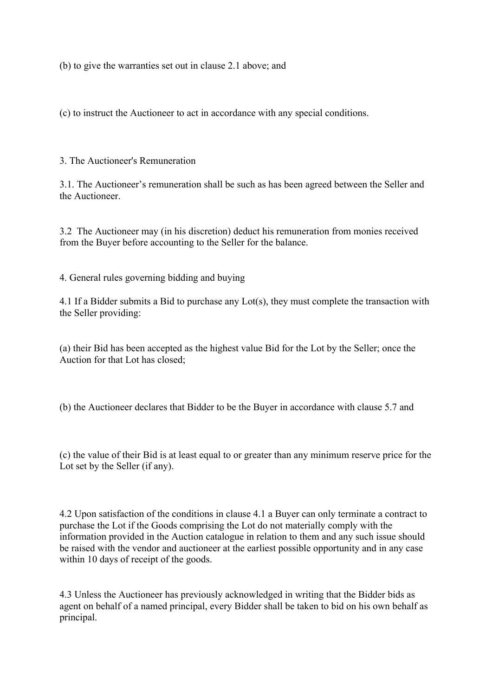(b) to give the warranties set out in clause 2.1 above; and

(c) to instruct the Auctioneer to act in accordance with any special conditions.

3. The Auctioneer's Remuneration

3.1. The Auctioneer's remuneration shall be such as has been agreed between the Seller and the Auctioneer.

3.2 The Auctioneer may (in his discretion) deduct his remuneration from monies received from the Buyer before accounting to the Seller for the balance.

4. General rules governing bidding and buying

4.1 If a Bidder submits a Bid to purchase any Lot(s), they must complete the transaction with the Seller providing:

(a) their Bid has been accepted as the highest value Bid for the Lot by the Seller; once the Auction for that Lot has closed;

(b) the Auctioneer declares that Bidder to be the Buyer in accordance with clause 5.7 and

(c) the value of their Bid is at least equal to or greater than any minimum reserve price for the Lot set by the Seller (if any).

4.2 Upon satisfaction of the conditions in clause 4.1 a Buyer can only terminate a contract to purchase the Lot if the Goods comprising the Lot do not materially comply with the information provided in the Auction catalogue in relation to them and any such issue should be raised with the vendor and auctioneer at the earliest possible opportunity and in any case within 10 days of receipt of the goods.

4.3 Unless the Auctioneer has previously acknowledged in writing that the Bidder bids as agent on behalf of a named principal, every Bidder shall be taken to bid on his own behalf as principal.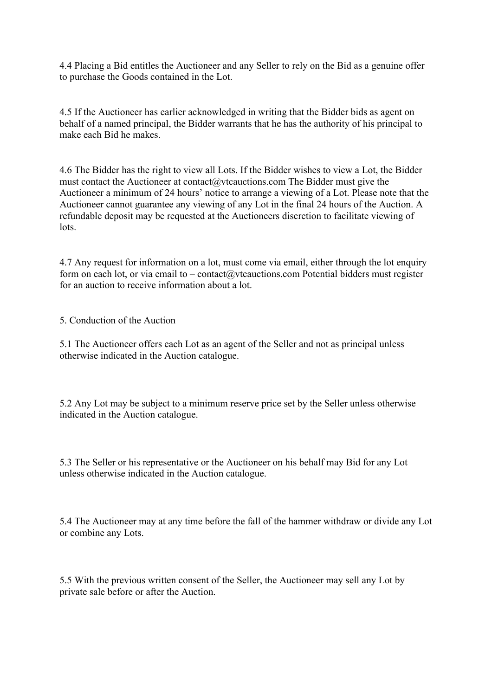4.4 Placing a Bid entitles the Auctioneer and any Seller to rely on the Bid as a genuine offer to purchase the Goods contained in the Lot.

4.5 If the Auctioneer has earlier acknowledged in writing that the Bidder bids as agent on behalf of a named principal, the Bidder warrants that he has the authority of his principal to make each Bid he makes.

4.6 The Bidder has the right to view all Lots. If the Bidder wishes to view a Lot, the Bidder must contact the Auctioneer at contact@vtcauctions.com The Bidder must give the Auctioneer a minimum of 24 hours' notice to arrange a viewing of a Lot. Please note that the Auctioneer cannot guarantee any viewing of any Lot in the final 24 hours of the Auction. A refundable deposit may be requested at the Auctioneers discretion to facilitate viewing of lots.

4.7 Any request for information on a lot, must come via email, either through the lot enquiry form on each lot, or via email to – contact@vtcauctions.com Potential bidders must register for an auction to receive information about a lot.

5. Conduction of the Auction

5.1 The Auctioneer offers each Lot as an agent of the Seller and not as principal unless otherwise indicated in the Auction catalogue.

5.2 Any Lot may be subject to a minimum reserve price set by the Seller unless otherwise indicated in the Auction catalogue.

5.3 The Seller or his representative or the Auctioneer on his behalf may Bid for any Lot unless otherwise indicated in the Auction catalogue.

5.4 The Auctioneer may at any time before the fall of the hammer withdraw or divide any Lot or combine any Lots.

5.5 With the previous written consent of the Seller, the Auctioneer may sell any Lot by private sale before or after the Auction.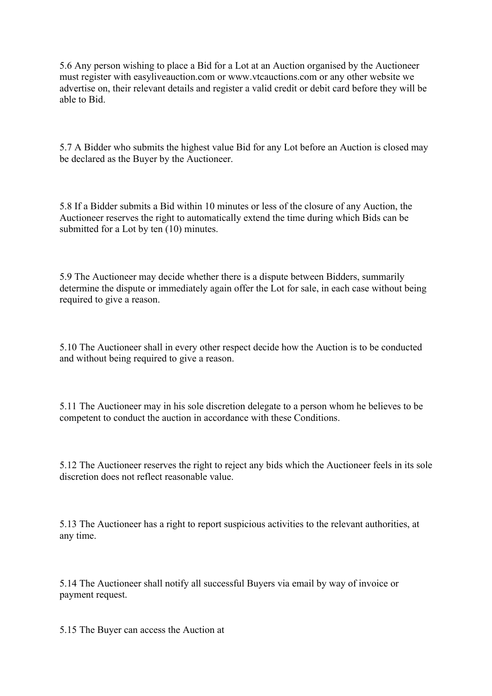5.6 Any person wishing to place a Bid for a Lot at an Auction organised by the Auctioneer must register with easyliveauction.com or www.vtcauctions.com or any other website we advertise on, their relevant details and register a valid credit or debit card before they will be able to Bid.

5.7 A Bidder who submits the highest value Bid for any Lot before an Auction is closed may be declared as the Buyer by the Auctioneer.

5.8 If a Bidder submits a Bid within 10 minutes or less of the closure of any Auction, the Auctioneer reserves the right to automatically extend the time during which Bids can be submitted for a Lot by ten  $(10)$  minutes.

5.9 The Auctioneer may decide whether there is a dispute between Bidders, summarily determine the dispute or immediately again offer the Lot for sale, in each case without being required to give a reason.

5.10 The Auctioneer shall in every other respect decide how the Auction is to be conducted and without being required to give a reason.

5.11 The Auctioneer may in his sole discretion delegate to a person whom he believes to be competent to conduct the auction in accordance with these Conditions.

5.12 The Auctioneer reserves the right to reject any bids which the Auctioneer feels in its sole discretion does not reflect reasonable value.

5.13 The Auctioneer has a right to report suspicious activities to the relevant authorities, at any time.

5.14 The Auctioneer shall notify all successful Buyers via email by way of invoice or payment request.

5.15 The Buyer can access the Auction at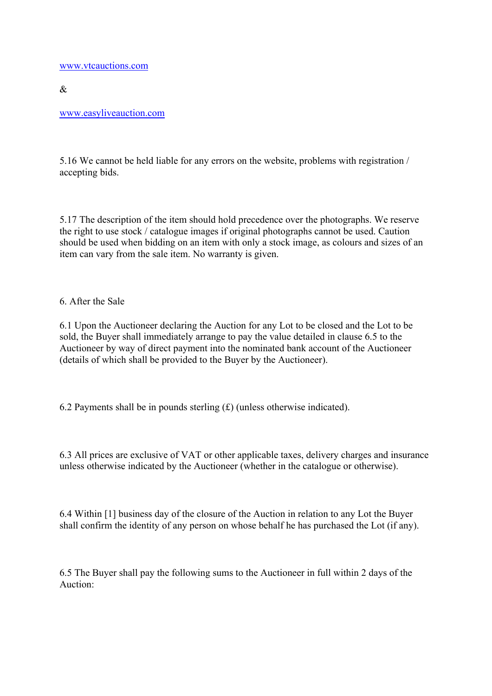www.vtcauctions.com

 $\&$ 

www.easyliveauction.com

5.16 We cannot be held liable for any errors on the website, problems with registration / accepting bids.

5.17 The description of the item should hold precedence over the photographs. We reserve the right to use stock / catalogue images if original photographs cannot be used. Caution should be used when bidding on an item with only a stock image, as colours and sizes of an item can vary from the sale item. No warranty is given.

6. After the Sale

6.1 Upon the Auctioneer declaring the Auction for any Lot to be closed and the Lot to be sold, the Buyer shall immediately arrange to pay the value detailed in clause 6.5 to the Auctioneer by way of direct payment into the nominated bank account of the Auctioneer (details of which shall be provided to the Buyer by the Auctioneer).

6.2 Payments shall be in pounds sterling  $(f)$  (unless otherwise indicated).

6.3 All prices are exclusive of VAT or other applicable taxes, delivery charges and insurance unless otherwise indicated by the Auctioneer (whether in the catalogue or otherwise).

6.4 Within [1] business day of the closure of the Auction in relation to any Lot the Buyer shall confirm the identity of any person on whose behalf he has purchased the Lot (if any).

6.5 The Buyer shall pay the following sums to the Auctioneer in full within 2 days of the Auction: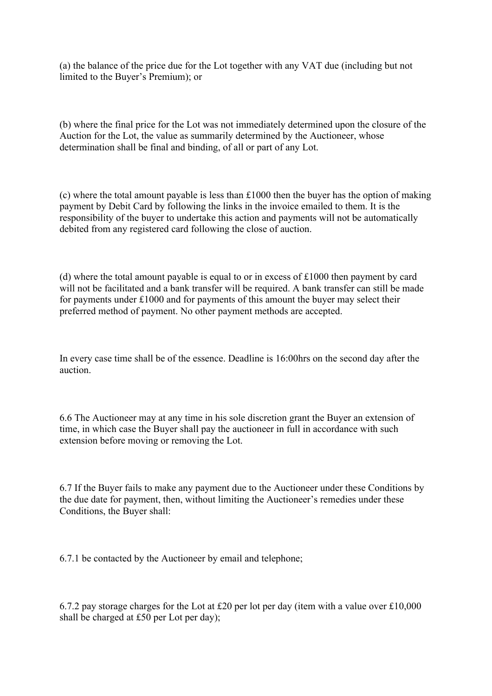(a) the balance of the price due for the Lot together with any VAT due (including but not limited to the Buyer's Premium); or

(b) where the final price for the Lot was not immediately determined upon the closure of the Auction for the Lot, the value as summarily determined by the Auctioneer, whose determination shall be final and binding, of all or part of any Lot.

(c) where the total amount payable is less than £1000 then the buyer has the option of making payment by Debit Card by following the links in the invoice emailed to them. It is the responsibility of the buyer to undertake this action and payments will not be automatically debited from any registered card following the close of auction.

(d) where the total amount payable is equal to or in excess of £1000 then payment by card will not be facilitated and a bank transfer will be required. A bank transfer can still be made for payments under £1000 and for payments of this amount the buyer may select their preferred method of payment. No other payment methods are accepted.

In every case time shall be of the essence. Deadline is 16:00hrs on the second day after the auction.

6.6 The Auctioneer may at any time in his sole discretion grant the Buyer an extension of time, in which case the Buyer shall pay the auctioneer in full in accordance with such extension before moving or removing the Lot.

6.7 If the Buyer fails to make any payment due to the Auctioneer under these Conditions by the due date for payment, then, without limiting the Auctioneer's remedies under these Conditions, the Buyer shall:

6.7.1 be contacted by the Auctioneer by email and telephone;

6.7.2 pay storage charges for the Lot at £20 per lot per day (item with a value over £10,000 shall be charged at £50 per Lot per day);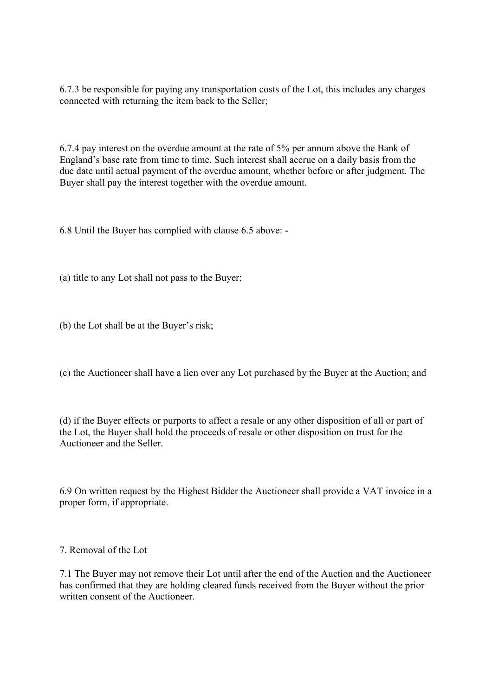6.7.3 be responsible for paying any transportation costs of the Lot, this includes any charges connected with returning the item back to the Seller;

6.7.4 pay interest on the overdue amount at the rate of 5% per annum above the Bank of England's base rate from time to time. Such interest shall accrue on a daily basis from the due date until actual payment of the overdue amount, whether before or after judgment. The Buyer shall pay the interest together with the overdue amount.

6.8 Until the Buyer has complied with clause 6.5 above: -

(a) title to any Lot shall not pass to the Buyer;

(b) the Lot shall be at the Buyer's risk;

(c) the Auctioneer shall have a lien over any Lot purchased by the Buyer at the Auction; and

(d) if the Buyer effects or purports to affect a resale or any other disposition of all or part of the Lot, the Buyer shall hold the proceeds of resale or other disposition on trust for the Auctioneer and the Seller.

6.9 On written request by the Highest Bidder the Auctioneer shall provide a VAT invoice in a proper form, if appropriate.

7. Removal of the Lot

7.1 The Buyer may not remove their Lot until after the end of the Auction and the Auctioneer has confirmed that they are holding cleared funds received from the Buyer without the prior written consent of the Auctioneer.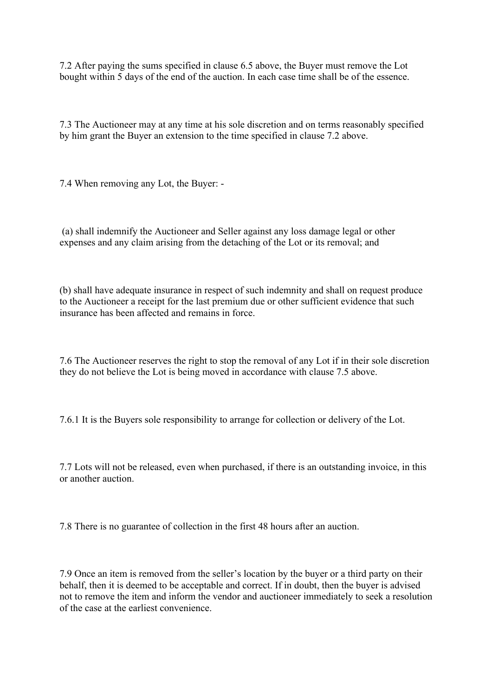7.2 After paying the sums specified in clause 6.5 above, the Buyer must remove the Lot bought within 5 days of the end of the auction. In each case time shall be of the essence.

7.3 The Auctioneer may at any time at his sole discretion and on terms reasonably specified by him grant the Buyer an extension to the time specified in clause 7.2 above.

7.4 When removing any Lot, the Buyer: -

 (a) shall indemnify the Auctioneer and Seller against any loss damage legal or other expenses and any claim arising from the detaching of the Lot or its removal; and

(b) shall have adequate insurance in respect of such indemnity and shall on request produce to the Auctioneer a receipt for the last premium due or other sufficient evidence that such insurance has been affected and remains in force.

7.6 The Auctioneer reserves the right to stop the removal of any Lot if in their sole discretion they do not believe the Lot is being moved in accordance with clause 7.5 above.

7.6.1 It is the Buyers sole responsibility to arrange for collection or delivery of the Lot.

7.7 Lots will not be released, even when purchased, if there is an outstanding invoice, in this or another auction.

7.8 There is no guarantee of collection in the first 48 hours after an auction.

7.9 Once an item is removed from the seller's location by the buyer or a third party on their behalf, then it is deemed to be acceptable and correct. If in doubt, then the buyer is advised not to remove the item and inform the vendor and auctioneer immediately to seek a resolution of the case at the earliest convenience.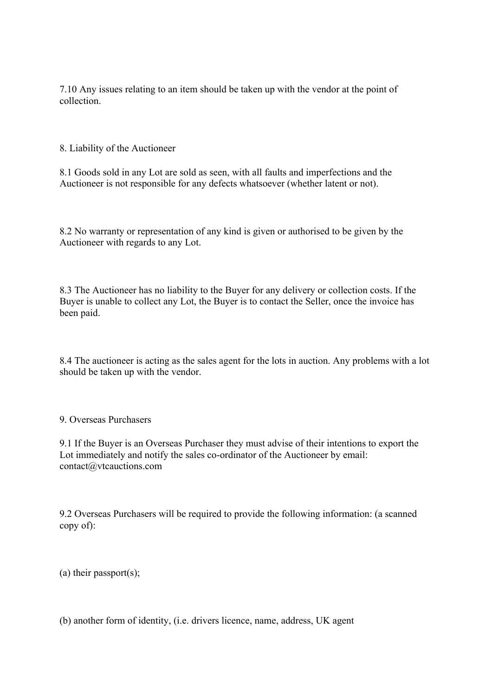7.10 Any issues relating to an item should be taken up with the vendor at the point of collection.

8. Liability of the Auctioneer

8.1 Goods sold in any Lot are sold as seen, with all faults and imperfections and the Auctioneer is not responsible for any defects whatsoever (whether latent or not).

8.2 No warranty or representation of any kind is given or authorised to be given by the Auctioneer with regards to any Lot.

8.3 The Auctioneer has no liability to the Buyer for any delivery or collection costs. If the Buyer is unable to collect any Lot, the Buyer is to contact the Seller, once the invoice has been paid.

8.4 The auctioneer is acting as the sales agent for the lots in auction. Any problems with a lot should be taken up with the vendor.

9. Overseas Purchasers

9.1 If the Buyer is an Overseas Purchaser they must advise of their intentions to export the Lot immediately and notify the sales co-ordinator of the Auctioneer by email: contact@vtcauctions.com

9.2 Overseas Purchasers will be required to provide the following information: (a scanned copy of):

(a) their passport(s);

(b) another form of identity, (i.e. drivers licence, name, address, UK agent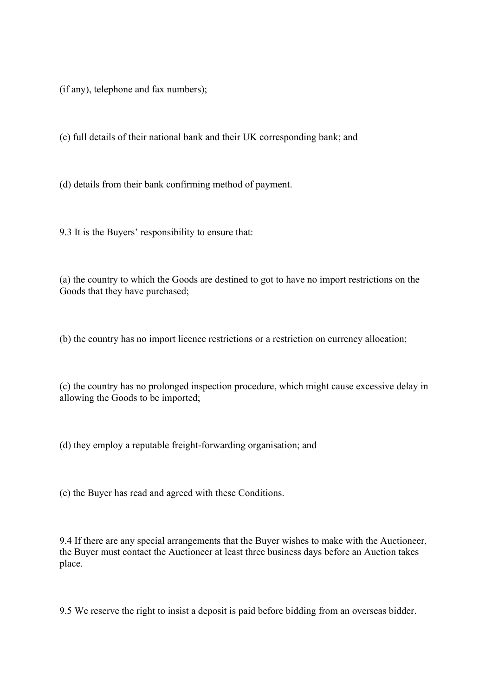(if any), telephone and fax numbers);

(c) full details of their national bank and their UK corresponding bank; and

(d) details from their bank confirming method of payment.

9.3 It is the Buyers' responsibility to ensure that:

(a) the country to which the Goods are destined to got to have no import restrictions on the Goods that they have purchased;

(b) the country has no import licence restrictions or a restriction on currency allocation;

(c) the country has no prolonged inspection procedure, which might cause excessive delay in allowing the Goods to be imported;

(d) they employ a reputable freight-forwarding organisation; and

(e) the Buyer has read and agreed with these Conditions.

9.4 If there are any special arrangements that the Buyer wishes to make with the Auctioneer, the Buyer must contact the Auctioneer at least three business days before an Auction takes place.

9.5 We reserve the right to insist a deposit is paid before bidding from an overseas bidder.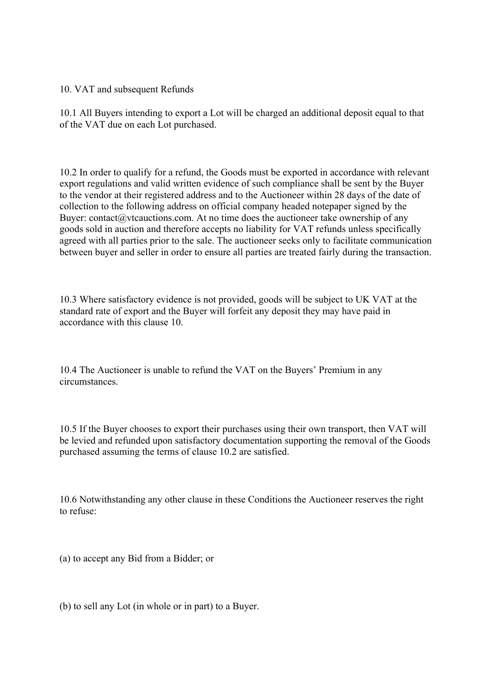10. VAT and subsequent Refunds

10.1 All Buyers intending to export a Lot will be charged an additional deposit equal to that of the VAT due on each Lot purchased.

10.2 In order to qualify for a refund, the Goods must be exported in accordance with relevant export regulations and valid written evidence of such compliance shall be sent by the Buyer to the vendor at their registered address and to the Auctioneer within 28 days of the date of collection to the following address on official company headed notepaper signed by the Buyer: contact@vtcauctions.com. At no time does the auctioneer take ownership of any goods sold in auction and therefore accepts no liability for VAT refunds unless specifically agreed with all parties prior to the sale. The auctioneer seeks only to facilitate communication between buyer and seller in order to ensure all parties are treated fairly during the transaction.

10.3 Where satisfactory evidence is not provided, goods will be subject to UK VAT at the standard rate of export and the Buyer will forfeit any deposit they may have paid in accordance with this clause 10.

10.4 The Auctioneer is unable to refund the VAT on the Buyers' Premium in any circumstances.

10.5 If the Buyer chooses to export their purchases using their own transport, then VAT will be levied and refunded upon satisfactory documentation supporting the removal of the Goods purchased assuming the terms of clause 10.2 are satisfied.

10.6 Notwithstanding any other clause in these Conditions the Auctioneer reserves the right to refuse:

(a) to accept any Bid from a Bidder; or

(b) to sell any Lot (in whole or in part) to a Buyer.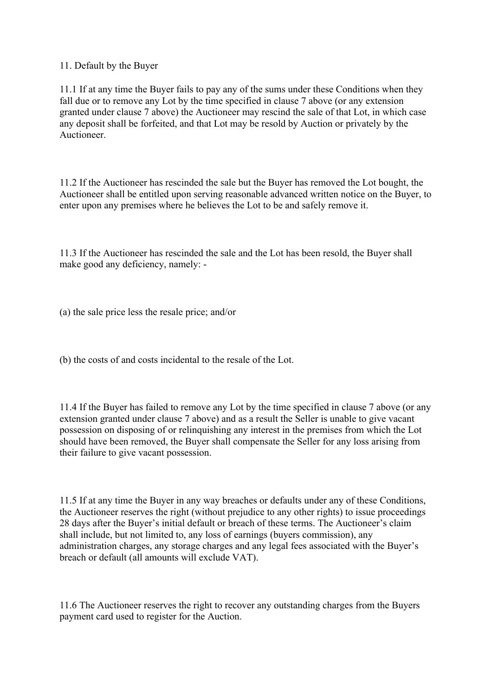11. Default by the Buyer

11.1 If at any time the Buyer fails to pay any of the sums under these Conditions when they fall due or to remove any Lot by the time specified in clause 7 above (or any extension granted under clause 7 above) the Auctioneer may rescind the sale of that Lot, in which case any deposit shall be forfeited, and that Lot may be resold by Auction or privately by the Auctioneer.

11.2 If the Auctioneer has rescinded the sale but the Buyer has removed the Lot bought, the Auctioneer shall be entitled upon serving reasonable advanced written notice on the Buyer, to enter upon any premises where he believes the Lot to be and safely remove it.

11.3 If the Auctioneer has rescinded the sale and the Lot has been resold, the Buyer shall make good any deficiency, namely: -

(a) the sale price less the resale price; and/or

(b) the costs of and costs incidental to the resale of the Lot.

11.4 If the Buyer has failed to remove any Lot by the time specified in clause 7 above (or any extension granted under clause 7 above) and as a result the Seller is unable to give vacant possession on disposing of or relinquishing any interest in the premises from which the Lot should have been removed, the Buyer shall compensate the Seller for any loss arising from their failure to give vacant possession.

11.5 If at any time the Buyer in any way breaches or defaults under any of these Conditions, the Auctioneer reserves the right (without prejudice to any other rights) to issue proceedings 28 days after the Buyer's initial default or breach of these terms. The Auctioneer's claim shall include, but not limited to, any loss of earnings (buyers commission), any administration charges, any storage charges and any legal fees associated with the Buyer's breach or default (all amounts will exclude VAT).

11.6 The Auctioneer reserves the right to recover any outstanding charges from the Buyers payment card used to register for the Auction.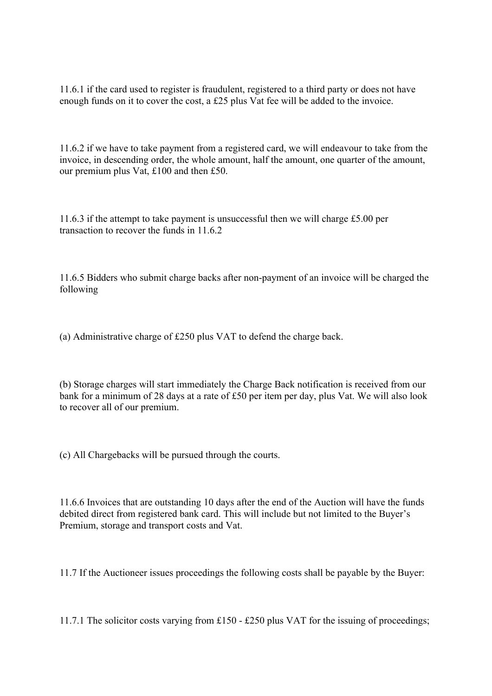11.6.1 if the card used to register is fraudulent, registered to a third party or does not have enough funds on it to cover the cost, a £25 plus Vat fee will be added to the invoice.

11.6.2 if we have to take payment from a registered card, we will endeavour to take from the invoice, in descending order, the whole amount, half the amount, one quarter of the amount, our premium plus Vat, £100 and then £50.

11.6.3 if the attempt to take payment is unsuccessful then we will charge £5.00 per transaction to recover the funds in 11.6.2

11.6.5 Bidders who submit charge backs after non-payment of an invoice will be charged the following

(a) Administrative charge of £250 plus VAT to defend the charge back.

(b) Storage charges will start immediately the Charge Back notification is received from our bank for a minimum of 28 days at a rate of £50 per item per day, plus Vat. We will also look to recover all of our premium.

(c) All Chargebacks will be pursued through the courts.

11.6.6 Invoices that are outstanding 10 days after the end of the Auction will have the funds debited direct from registered bank card. This will include but not limited to the Buyer's Premium, storage and transport costs and Vat.

11.7 If the Auctioneer issues proceedings the following costs shall be payable by the Buyer:

11.7.1 The solicitor costs varying from £150 - £250 plus VAT for the issuing of proceedings;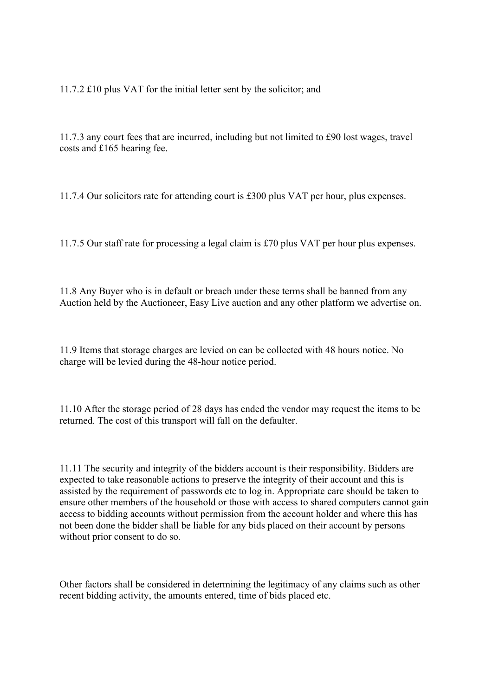11.7.2 £10 plus VAT for the initial letter sent by the solicitor; and

11.7.3 any court fees that are incurred, including but not limited to £90 lost wages, travel costs and £165 hearing fee.

11.7.4 Our solicitors rate for attending court is £300 plus VAT per hour, plus expenses.

11.7.5 Our staff rate for processing a legal claim is £70 plus VAT per hour plus expenses.

11.8 Any Buyer who is in default or breach under these terms shall be banned from any Auction held by the Auctioneer, Easy Live auction and any other platform we advertise on.

11.9 Items that storage charges are levied on can be collected with 48 hours notice. No charge will be levied during the 48-hour notice period.

11.10 After the storage period of 28 days has ended the vendor may request the items to be returned. The cost of this transport will fall on the defaulter.

11.11 The security and integrity of the bidders account is their responsibility. Bidders are expected to take reasonable actions to preserve the integrity of their account and this is assisted by the requirement of passwords etc to log in. Appropriate care should be taken to ensure other members of the household or those with access to shared computers cannot gain access to bidding accounts without permission from the account holder and where this has not been done the bidder shall be liable for any bids placed on their account by persons without prior consent to do so.

Other factors shall be considered in determining the legitimacy of any claims such as other recent bidding activity, the amounts entered, time of bids placed etc.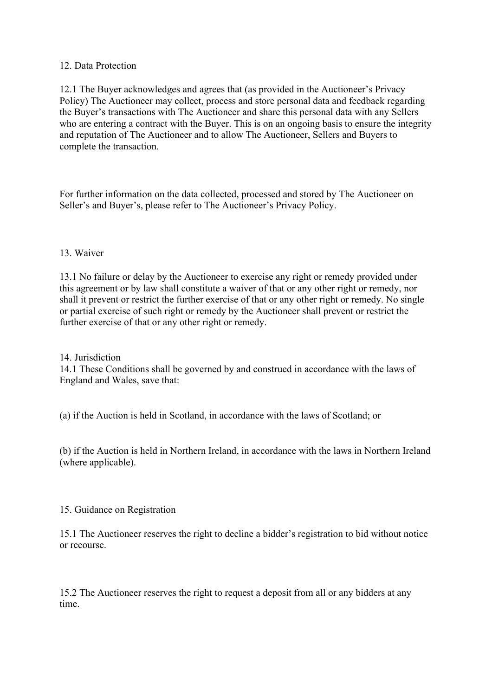## 12. Data Protection

12.1 The Buyer acknowledges and agrees that (as provided in the Auctioneer's Privacy Policy) The Auctioneer may collect, process and store personal data and feedback regarding the Buyer's transactions with The Auctioneer and share this personal data with any Sellers who are entering a contract with the Buyer. This is on an ongoing basis to ensure the integrity and reputation of The Auctioneer and to allow The Auctioneer, Sellers and Buyers to complete the transaction.

For further information on the data collected, processed and stored by The Auctioneer on Seller's and Buyer's, please refer to The Auctioneer's Privacy Policy.

## 13. Waiver

13.1 No failure or delay by the Auctioneer to exercise any right or remedy provided under this agreement or by law shall constitute a waiver of that or any other right or remedy, nor shall it prevent or restrict the further exercise of that or any other right or remedy. No single or partial exercise of such right or remedy by the Auctioneer shall prevent or restrict the further exercise of that or any other right or remedy.

14 Jurisdiction

14.1 These Conditions shall be governed by and construed in accordance with the laws of England and Wales, save that:

(a) if the Auction is held in Scotland, in accordance with the laws of Scotland; or

(b) if the Auction is held in Northern Ireland, in accordance with the laws in Northern Ireland (where applicable).

#### 15. Guidance on Registration

15.1 The Auctioneer reserves the right to decline a bidder's registration to bid without notice or recourse.

15.2 The Auctioneer reserves the right to request a deposit from all or any bidders at any time.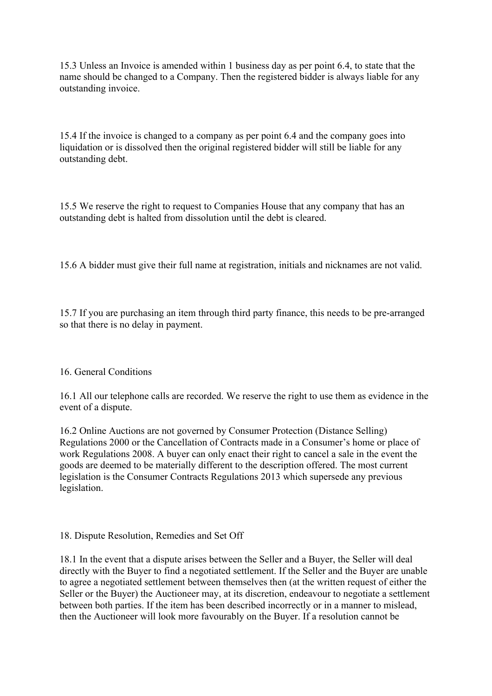15.3 Unless an Invoice is amended within 1 business day as per point 6.4, to state that the name should be changed to a Company. Then the registered bidder is always liable for any outstanding invoice.

15.4 If the invoice is changed to a company as per point 6.4 and the company goes into liquidation or is dissolved then the original registered bidder will still be liable for any outstanding debt.

15.5 We reserve the right to request to Companies House that any company that has an outstanding debt is halted from dissolution until the debt is cleared.

15.6 A bidder must give their full name at registration, initials and nicknames are not valid.

15.7 If you are purchasing an item through third party finance, this needs to be pre-arranged so that there is no delay in payment.

# 16. General Conditions

16.1 All our telephone calls are recorded. We reserve the right to use them as evidence in the event of a dispute.

16.2 Online Auctions are not governed by Consumer Protection (Distance Selling) Regulations 2000 or the Cancellation of Contracts made in a Consumer's home or place of work Regulations 2008. A buyer can only enact their right to cancel a sale in the event the goods are deemed to be materially different to the description offered. The most current legislation is the Consumer Contracts Regulations 2013 which supersede any previous legislation.

#### 18. Dispute Resolution, Remedies and Set Off

18.1 In the event that a dispute arises between the Seller and a Buyer, the Seller will deal directly with the Buyer to find a negotiated settlement. If the Seller and the Buyer are unable to agree a negotiated settlement between themselves then (at the written request of either the Seller or the Buyer) the Auctioneer may, at its discretion, endeavour to negotiate a settlement between both parties. If the item has been described incorrectly or in a manner to mislead, then the Auctioneer will look more favourably on the Buyer. If a resolution cannot be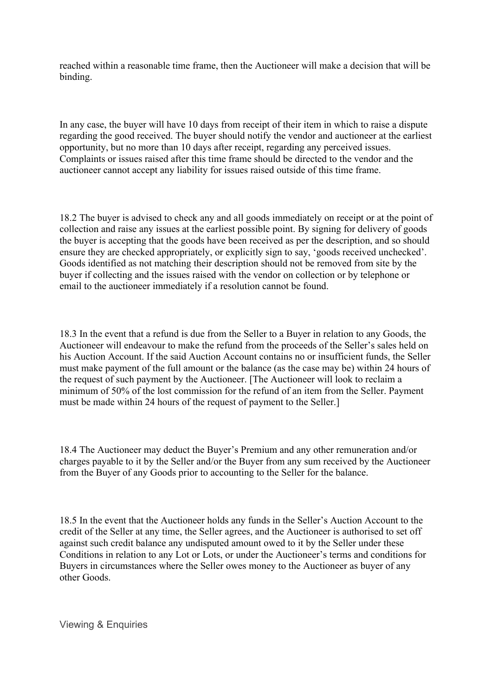reached within a reasonable time frame, then the Auctioneer will make a decision that will be binding.

In any case, the buyer will have 10 days from receipt of their item in which to raise a dispute regarding the good received. The buyer should notify the vendor and auctioneer at the earliest opportunity, but no more than 10 days after receipt, regarding any perceived issues. Complaints or issues raised after this time frame should be directed to the vendor and the auctioneer cannot accept any liability for issues raised outside of this time frame.

18.2 The buyer is advised to check any and all goods immediately on receipt or at the point of collection and raise any issues at the earliest possible point. By signing for delivery of goods the buyer is accepting that the goods have been received as per the description, and so should ensure they are checked appropriately, or explicitly sign to say, 'goods received unchecked'. Goods identified as not matching their description should not be removed from site by the buyer if collecting and the issues raised with the vendor on collection or by telephone or email to the auctioneer immediately if a resolution cannot be found.

18.3 In the event that a refund is due from the Seller to a Buyer in relation to any Goods, the Auctioneer will endeavour to make the refund from the proceeds of the Seller's sales held on his Auction Account. If the said Auction Account contains no or insufficient funds, the Seller must make payment of the full amount or the balance (as the case may be) within 24 hours of the request of such payment by the Auctioneer. [The Auctioneer will look to reclaim a minimum of 50% of the lost commission for the refund of an item from the Seller. Payment must be made within 24 hours of the request of payment to the Seller.]

18.4 The Auctioneer may deduct the Buyer's Premium and any other remuneration and/or charges payable to it by the Seller and/or the Buyer from any sum received by the Auctioneer from the Buyer of any Goods prior to accounting to the Seller for the balance.

18.5 In the event that the Auctioneer holds any funds in the Seller's Auction Account to the credit of the Seller at any time, the Seller agrees, and the Auctioneer is authorised to set off against such credit balance any undisputed amount owed to it by the Seller under these Conditions in relation to any Lot or Lots, or under the Auctioneer's terms and conditions for Buyers in circumstances where the Seller owes money to the Auctioneer as buyer of any other Goods.

Viewing & Enquiries